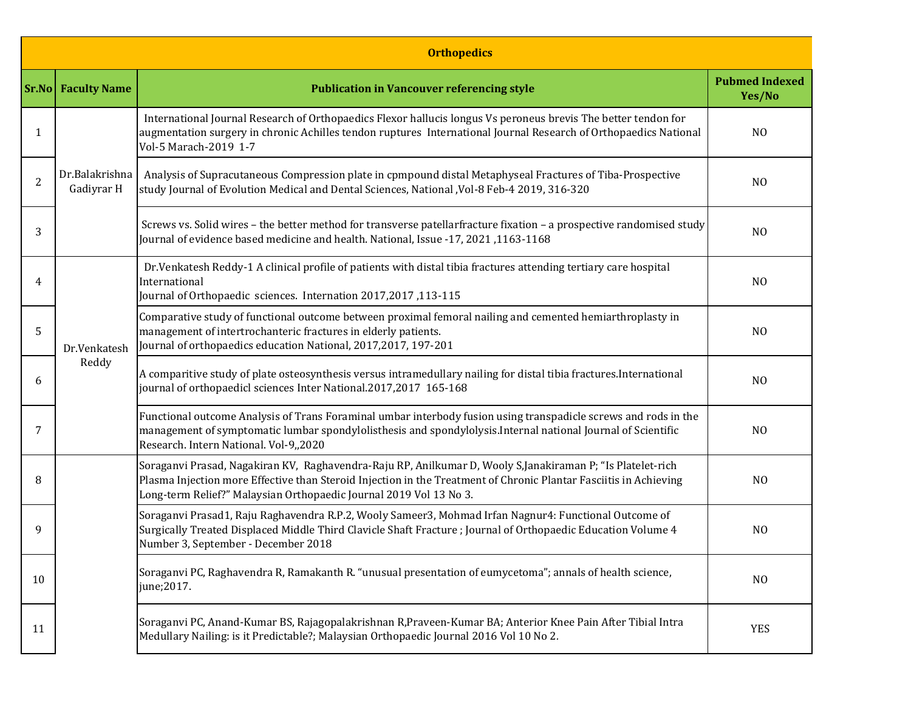|                | <b>Orthopedics</b>           |                                                                                                                                                                                                                                                                                                       |                |  |  |  |  |  |
|----------------|------------------------------|-------------------------------------------------------------------------------------------------------------------------------------------------------------------------------------------------------------------------------------------------------------------------------------------------------|----------------|--|--|--|--|--|
|                | <b>Sr.No</b> Faculty Name    | <b>Publication in Vancouver referencing style</b>                                                                                                                                                                                                                                                     |                |  |  |  |  |  |
| 1              | Dr.Balakrishna<br>Gadiyrar H | International Journal Research of Orthopaedics Flexor hallucis longus Vs peroneus brevis The better tendon for<br>augmentation surgery in chronic Achilles tendon ruptures International Journal Research of Orthopaedics National<br>Vol-5 Marach-2019 1-7                                           | N <sub>O</sub> |  |  |  |  |  |
| $\overline{2}$ |                              | Analysis of Supracutaneous Compression plate in cpmpound distal Metaphyseal Fractures of Tiba-Prospective<br>study Journal of Evolution Medical and Dental Sciences, National , Vol-8 Feb-4 2019, 316-320                                                                                             | N <sub>O</sub> |  |  |  |  |  |
| 3              |                              | Screws vs. Solid wires - the better method for transverse patellarfracture fixation - a prospective randomised study<br>Journal of evidence based medicine and health. National, Issue -17, 2021, 1163-1168                                                                                           | N <sub>O</sub> |  |  |  |  |  |
| 4              | Dr.Venkatesh<br>Reddy        | Dr. Venkatesh Reddy-1 A clinical profile of patients with distal tibia fractures attending tertiary care hospital<br>International<br>Journal of Orthopaedic sciences. Internation 2017,2017,113-115                                                                                                  | N <sub>O</sub> |  |  |  |  |  |
| 5              |                              | Comparative study of functional outcome between proximal femoral nailing and cemented hemiarthroplasty in<br>management of intertrochanteric fractures in elderly patients.<br>Journal of orthopaedics education National, 2017, 2017, 197-201                                                        | N <sub>O</sub> |  |  |  |  |  |
| 6              |                              | A comparitive study of plate osteosynthesis versus intramedullary nailing for distal tibia fractures. International<br>journal of orthopaedicl sciences Inter National.2017,2017 165-168                                                                                                              | N <sub>O</sub> |  |  |  |  |  |
| 7              |                              | Functional outcome Analysis of Trans Foraminal umbar interbody fusion using transpadicle screws and rods in the<br>management of symptomatic lumbar spondylolisthesis and spondylolysis. Internal national Journal of Scientific<br>Research. Intern National. Vol-9,,2020                            | N <sub>O</sub> |  |  |  |  |  |
| 8              |                              | Soraganvi Prasad, Nagakiran KV, Raghavendra-Raju RP, Anilkumar D, Wooly S,Janakiraman P; "Is Platelet-rich<br>Plasma Injection more Effective than Steroid Injection in the Treatment of Chronic Plantar Fasciitis in Achieving<br>Long-term Relief?" Malaysian Orthopaedic Journal 2019 Vol 13 No 3. | N <sub>O</sub> |  |  |  |  |  |
| 9              |                              | Soraganvi Prasad1, Raju Raghavendra R.P.2, Wooly Sameer3, Mohmad Irfan Nagnur4: Functional Outcome of<br>Surgically Treated Displaced Middle Third Clavicle Shaft Fracture ; Journal of Orthopaedic Education Volume 4<br>Number 3, September - December 2018                                         | N <sub>O</sub> |  |  |  |  |  |
| 10             |                              | Soraganvi PC, Raghavendra R, Ramakanth R. "unusual presentation of eumycetoma"; annals of health science,<br>june;2017.                                                                                                                                                                               | N <sub>0</sub> |  |  |  |  |  |
| 11             |                              | Soraganvi PC, Anand-Kumar BS, Rajagopalakrishnan R, Praveen-Kumar BA; Anterior Knee Pain After Tibial Intra<br>Medullary Nailing: is it Predictable?; Malaysian Orthopaedic Journal 2016 Vol 10 No 2.                                                                                                 | <b>YES</b>     |  |  |  |  |  |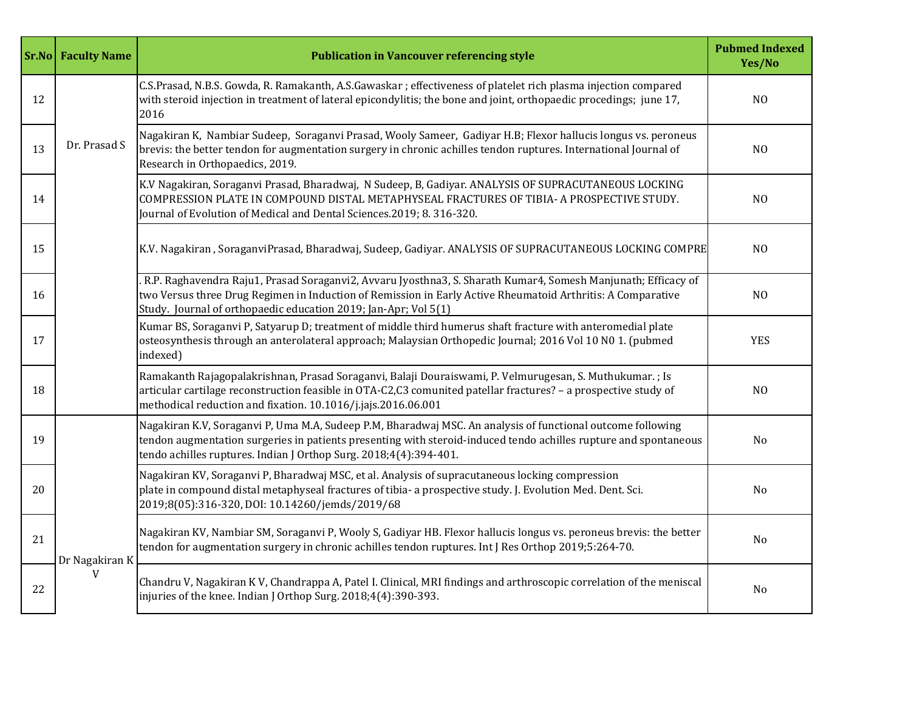|    | <b>Sr.No</b> Faculty Name | <b>Publication in Vancouver referencing style</b>                                                                                                                                                                                                                                                    | <b>Pubmed Indexed</b><br>Yes/No |
|----|---------------------------|------------------------------------------------------------------------------------------------------------------------------------------------------------------------------------------------------------------------------------------------------------------------------------------------------|---------------------------------|
| 12 |                           | C.S.Prasad, N.B.S. Gowda, R. Ramakanth, A.S.Gawaskar ; effectiveness of platelet rich plasma injection compared<br>with steroid injection in treatment of lateral epicondylitis; the bone and joint, orthopaedic procedings; june 17,<br>2016                                                        | N <sub>O</sub>                  |
| 13 | Dr. Prasad S              | Nagakiran K, Nambiar Sudeep, Soraganvi Prasad, Wooly Sameer, Gadiyar H.B; Flexor hallucis longus vs. peroneus<br>brevis: the better tendon for augmentation surgery in chronic achilles tendon ruptures. International Journal of<br>Research in Orthopaedics, 2019.                                 | N <sub>O</sub>                  |
| 14 |                           | K.V Nagakiran, Soraganvi Prasad, Bharadwaj, N Sudeep, B, Gadiyar. ANALYSIS OF SUPRACUTANEOUS LOCKING<br>COMPRESSION PLATE IN COMPOUND DISTAL METAPHYSEAL FRACTURES OF TIBIA- A PROSPECTIVE STUDY.<br>Journal of Evolution of Medical and Dental Sciences.2019; 8.316-320.                            | N <sub>O</sub>                  |
| 15 |                           | K.V. Nagakiran, SoraganviPrasad, Bharadwaj, Sudeep, Gadiyar. ANALYSIS OF SUPRACUTANEOUS LOCKING COMPRE                                                                                                                                                                                               | N <sub>O</sub>                  |
| 16 |                           | . R.P. Raghavendra Raju1, Prasad Soraganvi2, Avvaru Jyosthna3, S. Sharath Kumar4, Somesh Manjunath; Efficacy of<br>two Versus three Drug Regimen in Induction of Remission in Early Active Rheumatoid Arthritis: A Comparative<br>Study. Journal of orthopaedic education 2019; Jan-Apr; Vol 5(1)    | N <sub>O</sub>                  |
| 17 |                           | Kumar BS, Soraganvi P, Satyarup D; treatment of middle third humerus shaft fracture with anteromedial plate<br>osteosynthesis through an anterolateral approach; Malaysian Orthopedic Journal; 2016 Vol 10 N0 1. (pubmed<br>indexed)                                                                 | <b>YES</b>                      |
| 18 |                           | Ramakanth Rajagopalakrishnan, Prasad Soraganvi, Balaji Douraiswami, P. Velmurugesan, S. Muthukumar. ; Is<br>articular cartilage reconstruction feasible in OTA-C2,C3 comunited patellar fractures? - a prospective study of<br>methodical reduction and fixation. 10.1016/j.jajs.2016.06.001         | N <sub>O</sub>                  |
| 19 |                           | Nagakiran K.V, Soraganvi P, Uma M.A, Sudeep P.M, Bharadwaj MSC. An analysis of functional outcome following<br>tendon augmentation surgeries in patients presenting with steroid-induced tendo achilles rupture and spontaneous<br>tendo achilles ruptures. Indian J Orthop Surg. 2018;4(4):394-401. | No                              |
| 20 |                           | Nagakiran KV, Soraganvi P, Bharadwaj MSC, et al. Analysis of supracutaneous locking compression<br>plate in compound distal metaphyseal fractures of tibia- a prospective study. J. Evolution Med. Dent. Sci.<br>2019;8(05):316-320, DOI: 10.14260/jemds/2019/68                                     | No                              |
| 21 | Dr Nagakiran F            | Nagakiran KV, Nambiar SM, Soraganvi P, Wooly S, Gadiyar HB. Flexor hallucis longus vs. peroneus brevis: the better<br>tendon for augmentation surgery in chronic achilles tendon ruptures. Int J Res Orthop 2019;5:264-70.                                                                           | No                              |
| 22 |                           | Chandru V, Nagakiran K V, Chandrappa A, Patel I. Clinical, MRI findings and arthroscopic correlation of the meniscal<br>injuries of the knee. Indian J Orthop Surg. 2018;4(4):390-393.                                                                                                               | No                              |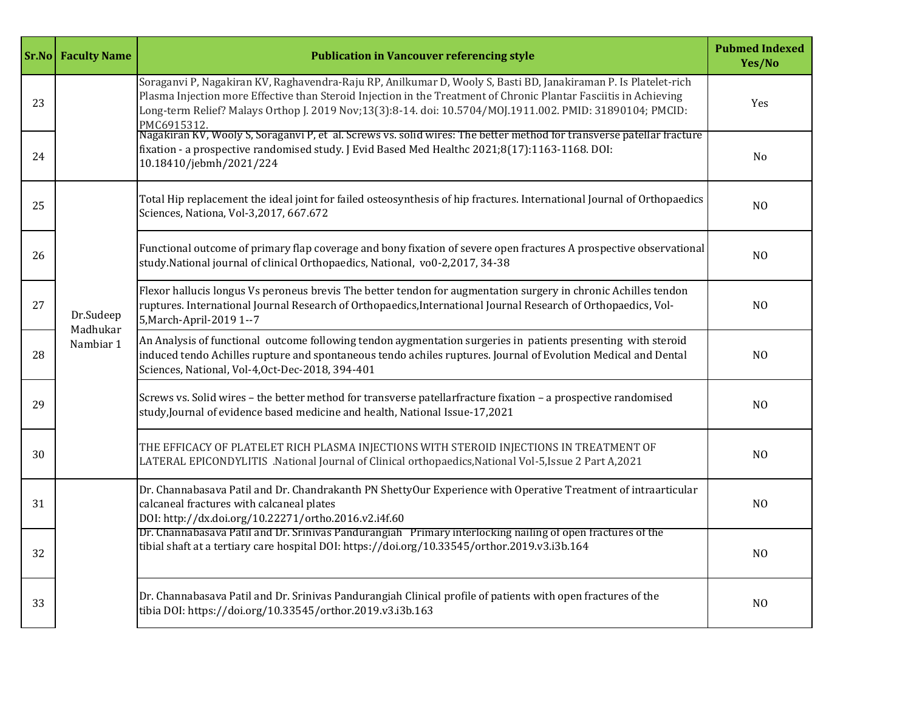|    | <b>Sr.No</b> Faculty Name          | <b>Publication in Vancouver referencing style</b>                                                                                                                                                                                                                                                                                                                |                |
|----|------------------------------------|------------------------------------------------------------------------------------------------------------------------------------------------------------------------------------------------------------------------------------------------------------------------------------------------------------------------------------------------------------------|----------------|
| 23 | Dr.Sudeep<br>Madhukar<br>Nambiar 1 | Soraganvi P, Nagakiran KV, Raghavendra-Raju RP, Anilkumar D, Wooly S, Basti BD, Janakiraman P. Is Platelet-rich<br>Plasma Injection more Effective than Steroid Injection in the Treatment of Chronic Plantar Fasciitis in Achieving<br>Long-term Relief? Malays Orthop J. 2019 Nov;13(3):8-14. doi: 10.5704/MOJ.1911.002. PMID: 31890104; PMCID:<br>PMC6915312. | <b>Yes</b>     |
| 24 |                                    | Nagakiran KV, Wooly S, Soraganvi P, et al. Screws vs. solid wires: The better method for transverse patellar fracture<br>fixation - a prospective randomised study. J Evid Based Med Healthc 2021;8(17):1163-1168. DOI:<br>10.18410/jebmh/2021/224                                                                                                               | No             |
| 25 |                                    | Total Hip replacement the ideal joint for failed osteosynthesis of hip fractures. International Journal of Orthopaedics<br>Sciences, Nationa, Vol-3,2017, 667.672                                                                                                                                                                                                | N <sub>0</sub> |
| 26 |                                    | Functional outcome of primary flap coverage and bony fixation of severe open fractures A prospective observational<br>study.National journal of clinical Orthopaedics, National, vo0-2,2017, 34-38                                                                                                                                                               | N <sub>0</sub> |
| 27 |                                    | Flexor hallucis longus Vs peroneus brevis The better tendon for augmentation surgery in chronic Achilles tendon<br>ruptures. International Journal Research of Orthopaedics, International Journal Research of Orthopaedics, Vol-<br>5, March-April-2019 1--7                                                                                                    | N <sub>0</sub> |
| 28 |                                    | An Analysis of functional outcome following tendon aygmentation surgeries in patients presenting with steroid<br>induced tendo Achilles rupture and spontaneous tendo achiles ruptures. Journal of Evolution Medical and Dental<br>Sciences, National, Vol-4, Oct-Dec-2018, 394-401                                                                              | N <sub>O</sub> |
| 29 |                                    | Screws vs. Solid wires - the better method for transverse patellarfracture fixation - a prospective randomised<br>study, Journal of evidence based medicine and health, National Issue-17,2021                                                                                                                                                                   | N <sub>O</sub> |
| 30 |                                    | THE EFFICACY OF PLATELET RICH PLASMA INJECTIONS WITH STEROID INJECTIONS IN TREATMENT OF<br>LATERAL EPICONDYLITIS .National Journal of Clinical orthopaedics, National Vol-5, Issue 2 Part A, 2021                                                                                                                                                                | N <sub>0</sub> |
| 31 |                                    | Dr. Channabasava Patil and Dr. Chandrakanth PN ShettyOur Experience with Operative Treatment of intraarticular<br>calcaneal fractures with calcaneal plates<br>DOI: http://dx.doi.org/10.22271/ortho.2016.v2.i4f.60                                                                                                                                              | N <sub>0</sub> |
| 32 |                                    | Dr. Channabasava Patil and Dr. Srinivas Pandurangiah Primary interlocking nailing of open fractures of the<br>tibial shaft at a tertiary care hospital DOI: https://doi.org/10.33545/orthor.2019.v3.i3b.164                                                                                                                                                      | N <sub>0</sub> |
| 33 |                                    | Dr. Channabasava Patil and Dr. Srinivas Pandurangiah Clinical profile of patients with open fractures of the<br>tibia DOI: https://doi.org/10.33545/orthor.2019.v3.i3b.163                                                                                                                                                                                       | N <sub>O</sub> |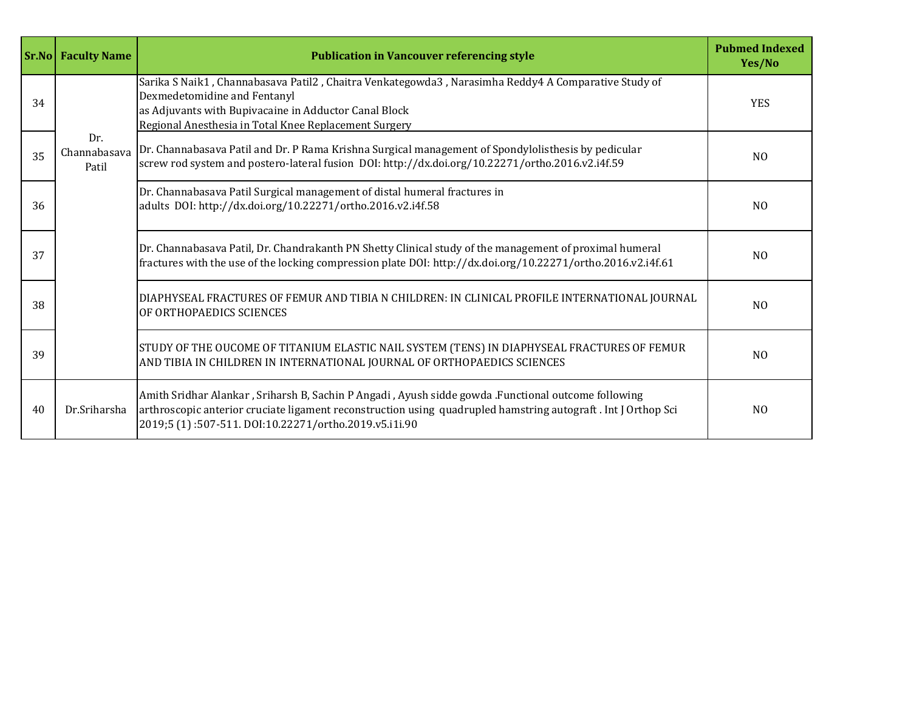|    | <b>Sr.No Faculty Name</b>    | <b>Publication in Vancouver referencing style</b>                                                                                                                                                                                                                             |                |
|----|------------------------------|-------------------------------------------------------------------------------------------------------------------------------------------------------------------------------------------------------------------------------------------------------------------------------|----------------|
| 34 |                              | Sarika S Naik1, Channabasava Patil2, Chaitra Venkategowda3, Narasimha Reddy4 A Comparative Study of<br>Dexmedetomidine and Fentanyl<br>as Adjuvants with Bupivacaine in Adductor Canal Block<br>Regional Anesthesia in Total Knee Replacement Surgery                         | <b>YES</b>     |
| 35 | Dr.<br>Channabasava<br>Patil | Dr. Channabasava Patil and Dr. P Rama Krishna Surgical management of Spondylolisthesis by pedicular<br>screw rod system and postero-lateral fusion DOI: http://dx.doi.org/10.22271/ortho.2016.v2.i4f.59                                                                       | N <sub>0</sub> |
| 36 |                              | Dr. Channabasava Patil Surgical management of distal humeral fractures in<br>adults DOI: http://dx.doi.org/10.22271/ortho.2016.v2.i4f.58                                                                                                                                      | N <sub>0</sub> |
| 37 |                              | Dr. Channabasava Patil, Dr. Chandrakanth PN Shetty Clinical study of the management of proximal humeral<br>fractures with the use of the locking compression plate DOI: http://dx.doi.org/10.22271/ortho.2016.v2.i4f.61                                                       | N <sub>0</sub> |
| 38 |                              | DIAPHYSEAL FRACTURES OF FEMUR AND TIBIA N CHILDREN: IN CLINICAL PROFILE INTERNATIONAL JOURNAL<br>OF ORTHOPAEDICS SCIENCES                                                                                                                                                     | N <sub>0</sub> |
| 39 |                              | STUDY OF THE OUCOME OF TITANIUM ELASTIC NAIL SYSTEM (TENS) IN DIAPHYSEAL FRACTURES OF FEMUR<br>AND TIBIA IN CHILDREN IN INTERNATIONAL JOURNAL OF ORTHOPAEDICS SCIENCES                                                                                                        | N <sub>0</sub> |
| 40 | Dr.Sriharsha                 | Amith Sridhar Alankar, Sriharsh B, Sachin P Angadi, Ayush sidde gowda .Functional outcome following<br>arthroscopic anterior cruciate ligament reconstruction using quadrupled hamstring autograft. Int J Orthop Sci<br>2019;5 (1):507-511. DOI:10.22271/ortho.2019.v5.i1i.90 | N <sub>0</sub> |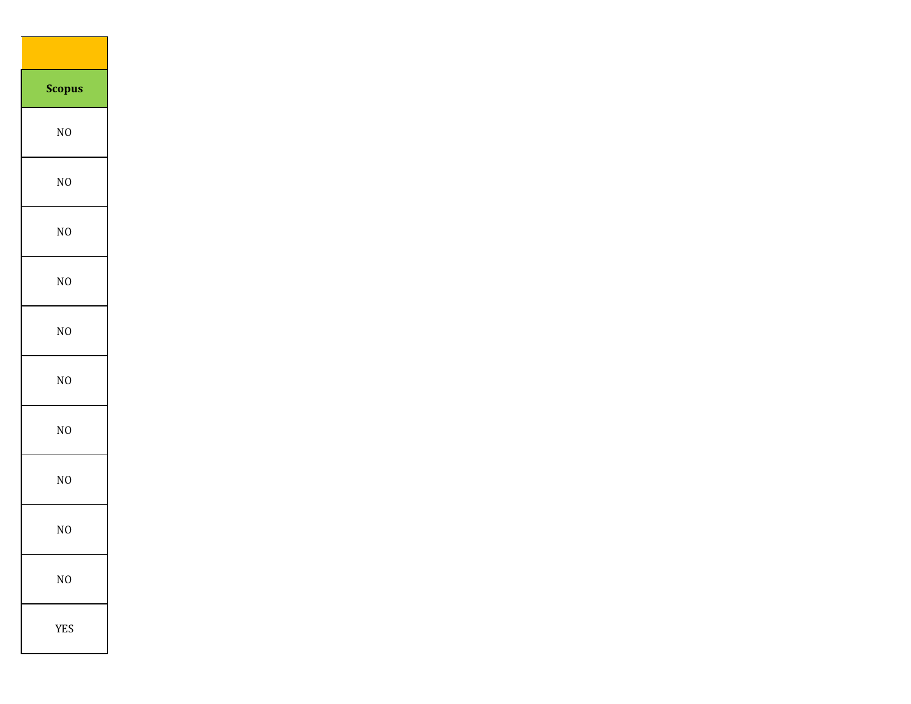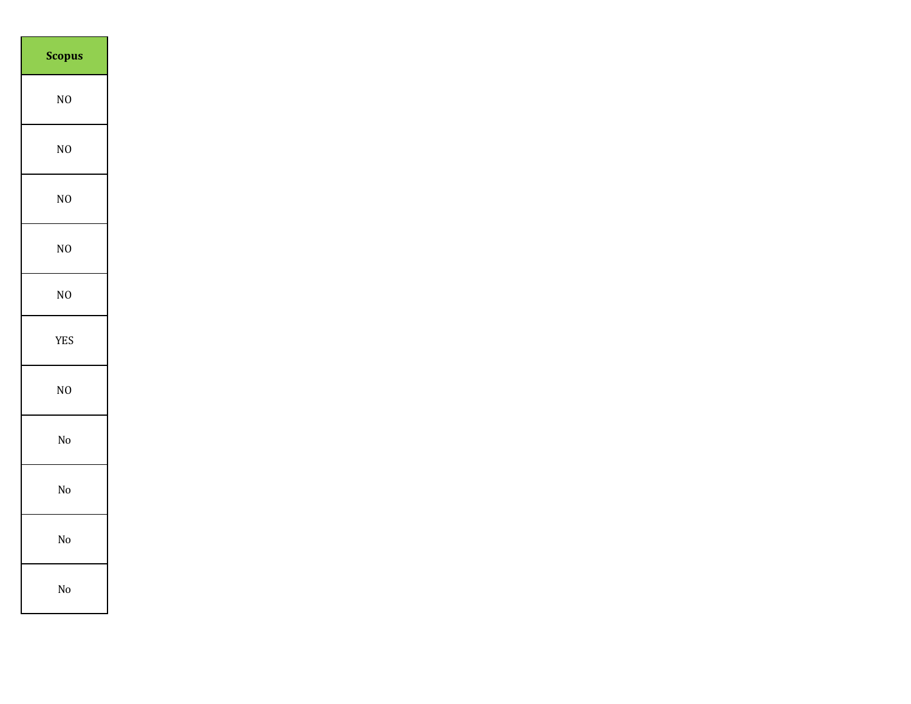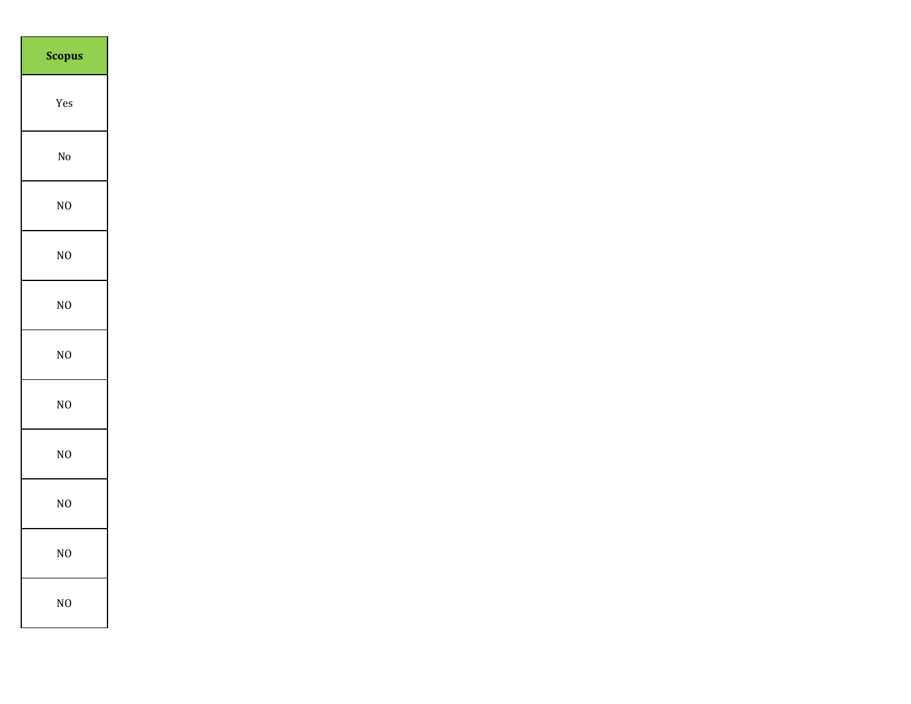